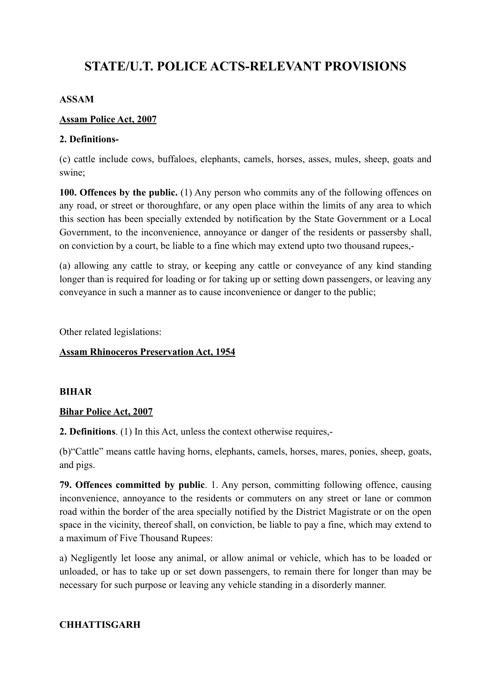# **STATE/U.T. POLICE ACTS-RELEVANT PROVISIONS**

#### **ASSAM**

#### **Assam Police Act, 2007**

#### **2. Definitions-**

(c) cattle include cows, buffaloes, elephants, camels, horses, asses, mules, sheep, goats and swine;

**100. Offences by the public.** (1) Any person who commits any of the following offences on any road, or street or thoroughfare, or any open place within the limits of any area to which this section has been specially extended by notification by the State Government or a Local Government, to the inconvenience, annoyance or danger of the residents or passersby shall, on conviction by a court, be liable to a fine which may extend upto two thousand rupees,-

(a) allowing any cattle to stray, or keeping any cattle or conveyance of any kind standing longer than is required for loading or for taking up or setting down passengers, or leaving any conveyance in such a manner as to cause inconvenience or danger to the public;

Other related legislations:

### **Assam Rhinoceros Preservation Act, 1954**

#### **BIHAR**

#### **Bihar Police Act, 2007**

**2. Definitions**. (1) In this Act, unless the context otherwise requires,-

(b)"Cattle" means cattle having horns, elephants, camels, horses, mares, ponies, sheep, goats, and pigs.

**79. Offences committed by public**. 1. Any person, committing following offence, causing inconvenience, annoyance to the residents or commuters on any street or lane or common road within the border of the area specially notified by the District Magistrate or on the open space in the vicinity, thereof shall, on conviction, be liable to pay a fine, which may extend to a maximum of Five Thousand Rupees:

a) Negligently let loose any animal, or allow animal or vehicle, which has to be loaded or unloaded, or has to take up or set down passengers, to remain there for longer than may be necessary for such purpose or leaving any vehicle standing in a disorderly manner.

#### **CHHATTISGARH**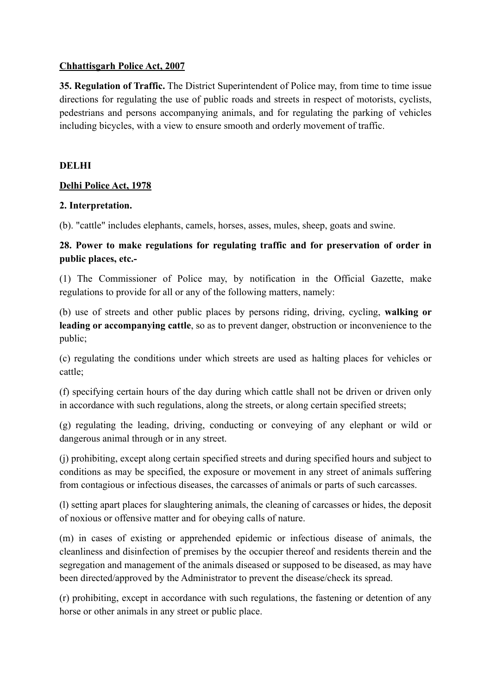#### **Chhattisgarh Police Act, 2007**

**35. Regulation of Traffic.** The District Superintendent of Police may, from time to time issue directions for regulating the use of public roads and streets in respect of motorists, cyclists, pedestrians and persons accompanying animals, and for regulating the parking of vehicles including bicycles, with a view to ensure smooth and orderly movement of traffic.

#### **DELHI**

#### **Delhi Police Act, 1978**

#### **2. Interpretation.**

(b). "cattle" includes elephants, camels, horses, asses, mules, sheep, goats and swine.

### **28. Power to make regulations for regulating traffic and for preservation of order in public places, etc.-**

(1) The Commissioner of Police may, by notification in the Official Gazette, make regulations to provide for all or any of the following matters, namely:

(b) use of streets and other public places by persons riding, driving, cycling, **walking or leading or accompanying cattle**, so as to prevent danger, obstruction or inconvenience to the public;

(c) regulating the conditions under which streets are used as halting places for vehicles or cattle;

(f) specifying certain hours of the day during which cattle shall not be driven or driven only in accordance with such regulations, along the streets, or along certain specified streets;

(g) regulating the leading, driving, conducting or conveying of any elephant or wild or dangerous animal through or in any street.

(j) prohibiting, except along certain specified streets and during specified hours and subject to conditions as may be specified, the exposure or movement in any street of animals suffering from contagious or infectious diseases, the carcasses of animals or parts of such carcasses.

(l) setting apart places for slaughtering animals, the cleaning of carcasses or hides, the deposit of noxious or offensive matter and for obeying calls of nature.

(m) in cases of existing or apprehended epidemic or infectious disease of animals, the cleanliness and disinfection of premises by the occupier thereof and residents therein and the segregation and management of the animals diseased or supposed to be diseased, as may have been directed/approved by the Administrator to prevent the disease/check its spread.

(r) prohibiting, except in accordance with such regulations, the fastening or detention of any horse or other animals in any street or public place.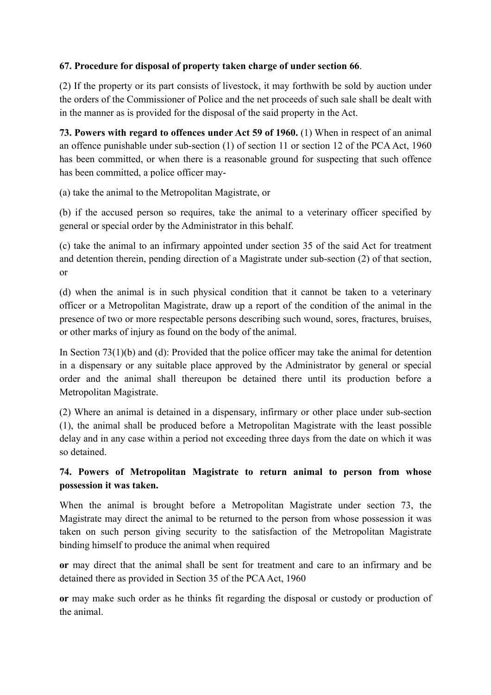# **67. Procedure for disposal of property taken charge of under section 66**.

(2) If the property or its part consists of livestock, it may forthwith be sold by auction under the orders of the Commissioner of Police and the net proceeds of such sale shall be dealt with in the manner as is provided for the disposal of the said property in the Act.

**73. Powers with regard to offences under Act 59 of 1960.** (1) When in respect of an animal an offence punishable under sub-section (1) of section 11 or section 12 of the PCA Act, 1960 has been committed, or when there is a reasonable ground for suspecting that such offence has been committed, a police officer may-

(a) take the animal to the Metropolitan Magistrate, or

(b) if the accused person so requires, take the animal to a veterinary officer specified by general or special order by the Administrator in this behalf.

(c) take the animal to an infirmary appointed under section 35 of the said Act for treatment and detention therein, pending direction of a Magistrate under sub-section (2) of that section, or

(d) when the animal is in such physical condition that it cannot be taken to a veterinary officer or a Metropolitan Magistrate, draw up a report of the condition of the animal in the presence of two or more respectable persons describing such wound, sores, fractures, bruises, or other marks of injury as found on the body of the animal.

In Section 73(1)(b) and (d): Provided that the police officer may take the animal for detention in a dispensary or any suitable place approved by the Administrator by general or special order and the animal shall thereupon be detained there until its production before a Metropolitan Magistrate.

(2) Where an animal is detained in a dispensary, infirmary or other place under sub-section (1), the animal shall be produced before a Metropolitan Magistrate with the least possible delay and in any case within a period not exceeding three days from the date on which it was so detained.

# **74. Powers of Metropolitan Magistrate to return animal to person from whose possession it was taken.**

When the animal is brought before a Metropolitan Magistrate under section 73, the Magistrate may direct the animal to be returned to the person from whose possession it was taken on such person giving security to the satisfaction of the Metropolitan Magistrate binding himself to produce the animal when required

**or** may direct that the animal shall be sent for treatment and care to an infirmary and be detained there as provided in Section 35 of the PCA Act, 1960

**or** may make such order as he thinks fit regarding the disposal or custody or production of the animal.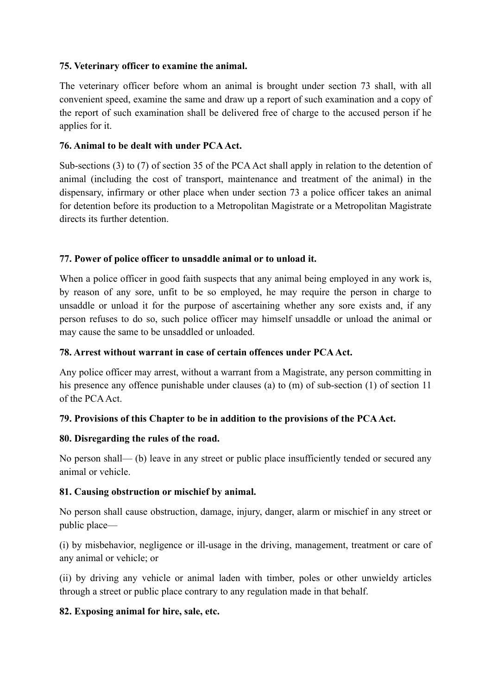### **75. Veterinary officer to examine the animal.**

The veterinary officer before whom an animal is brought under section 73 shall, with all convenient speed, examine the same and draw up a report of such examination and a copy of the report of such examination shall be delivered free of charge to the accused person if he applies for it.

### **76. Animal to be dealt with under PCA Act.**

Sub-sections (3) to (7) of section 35 of the PCA Act shall apply in relation to the detention of animal (including the cost of transport, maintenance and treatment of the animal) in the dispensary, infirmary or other place when under section 73 a police officer takes an animal for detention before its production to a Metropolitan Magistrate or a Metropolitan Magistrate directs its further detention.

#### **77. Power of police officer to unsaddle animal or to unload it.**

When a police officer in good faith suspects that any animal being employed in any work is, by reason of any sore, unfit to be so employed, he may require the person in charge to unsaddle or unload it for the purpose of ascertaining whether any sore exists and, if any person refuses to do so, such police officer may himself unsaddle or unload the animal or may cause the same to be unsaddled or unloaded.

#### **78. Arrest without warrant in case of certain offences under PCA Act.**

Any police officer may arrest, without a warrant from a Magistrate, any person committing in his presence any offence punishable under clauses (a) to (m) of sub-section (1) of section 11 of the PCA Act.

#### **79. Provisions of this Chapter to be in addition to the provisions of the PCA Act.**

#### **80. Disregarding the rules of the road.**

No person shall— (b) leave in any street or public place insufficiently tended or secured any animal or vehicle.

#### **81. Causing obstruction or mischief by animal.**

No person shall cause obstruction, damage, injury, danger, alarm or mischief in any street or public place—

(i) by misbehavior, negligence or ill-usage in the driving, management, treatment or care of any animal or vehicle; or

(ii) by driving any vehicle or animal laden with timber, poles or other unwieldy articles through a street or public place contrary to any regulation made in that behalf.

#### **82. Exposing animal for hire, sale, etc.**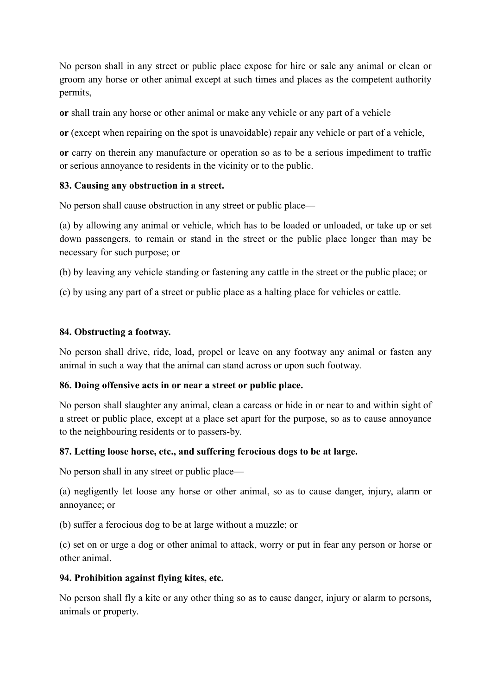No person shall in any street or public place expose for hire or sale any animal or clean or groom any horse or other animal except at such times and places as the competent authority permits,

**or** shall train any horse or other animal or make any vehicle or any part of a vehicle

**or** (except when repairing on the spot is unavoidable) repair any vehicle or part of a vehicle,

**or** carry on therein any manufacture or operation so as to be a serious impediment to traffic or serious annoyance to residents in the vicinity or to the public.

### **83. Causing any obstruction in a street.**

No person shall cause obstruction in any street or public place—

(a) by allowing any animal or vehicle, which has to be loaded or unloaded, or take up or set down passengers, to remain or stand in the street or the public place longer than may be necessary for such purpose; or

(b) by leaving any vehicle standing or fastening any cattle in the street or the public place; or

(c) by using any part of a street or public place as a halting place for vehicles or cattle.

#### **84. Obstructing a footway.**

No person shall drive, ride, load, propel or leave on any footway any animal or fasten any animal in such a way that the animal can stand across or upon such footway.

#### **86. Doing offensive acts in or near a street or public place.**

No person shall slaughter any animal, clean a carcass or hide in or near to and within sight of a street or public place, except at a place set apart for the purpose, so as to cause annoyance to the neighbouring residents or to passers-by.

#### **87. Letting loose horse, etc., and suffering ferocious dogs to be at large.**

No person shall in any street or public place—

(a) negligently let loose any horse or other animal, so as to cause danger, injury, alarm or annoyance; or

(b) suffer a ferocious dog to be at large without a muzzle; or

(c) set on or urge a dog or other animal to attack, worry or put in fear any person or horse or other animal.

#### **94. Prohibition against flying kites, etc.**

No person shall fly a kite or any other thing so as to cause danger, injury or alarm to persons, animals or property.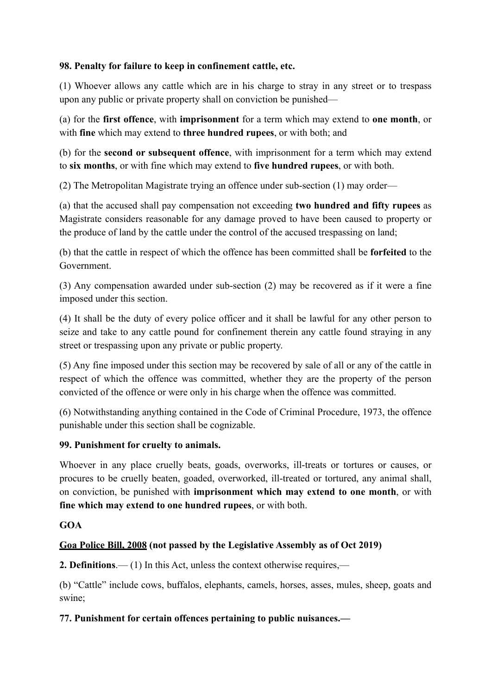### **98. Penalty for failure to keep in confinement cattle, etc.**

(1) Whoever allows any cattle which are in his charge to stray in any street or to trespass upon any public or private property shall on conviction be punished—

(a) for the **first offence**, with **imprisonment** for a term which may extend to **one month**, or with **fine** which may extend to **three hundred rupees**, or with both; and

(b) for the **second or subsequent offence**, with imprisonment for a term which may extend to **six months**, or with fine which may extend to **five hundred rupees**, or with both.

(2) The Metropolitan Magistrate trying an offence under sub-section (1) may order—

(a) that the accused shall pay compensation not exceeding **two hundred and fifty rupees** as Magistrate considers reasonable for any damage proved to have been caused to property or the produce of land by the cattle under the control of the accused trespassing on land;

(b) that the cattle in respect of which the offence has been committed shall be **forfeited** to the Government.

(3) Any compensation awarded under sub-section (2) may be recovered as if it were a fine imposed under this section.

(4) It shall be the duty of every police officer and it shall be lawful for any other person to seize and take to any cattle pound for confinement therein any cattle found straying in any street or trespassing upon any private or public property.

(5) Any fine imposed under this section may be recovered by sale of all or any of the cattle in respect of which the offence was committed, whether they are the property of the person convicted of the offence or were only in his charge when the offence was committed.

(6) Notwithstanding anything contained in the Code of Criminal Procedure, 1973, the offence punishable under this section shall be cognizable.

#### **99. Punishment for cruelty to animals.**

Whoever in any place cruelly beats, goads, overworks, ill-treats or tortures or causes, or procures to be cruelly beaten, goaded, overworked, ill-treated or tortured, any animal shall, on conviction, be punished with **imprisonment which may extend to one month**, or with **fine which may extend to one hundred rupees**, or with both.

# **GOA**

# **Goa Police Bill, 2008 (not passed by the Legislative Assembly as of Oct 2019)**

**2. Definitions**.— (1) In this Act, unless the context otherwise requires,—

(b) "Cattle" include cows, buffalos, elephants, camels, horses, asses, mules, sheep, goats and swine;

# **77. Punishment for certain offences pertaining to public nuisances.—**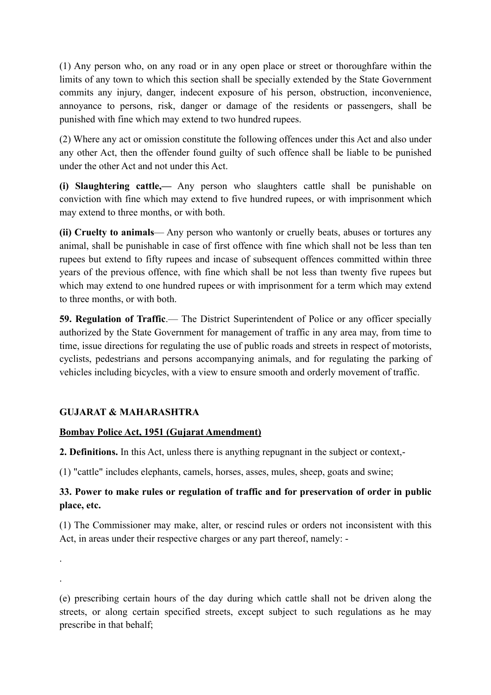(1) Any person who, on any road or in any open place or street or thoroughfare within the limits of any town to which this section shall be specially extended by the State Government commits any injury, danger, indecent exposure of his person, obstruction, inconvenience, annoyance to persons, risk, danger or damage of the residents or passengers, shall be punished with fine which may extend to two hundred rupees.

(2) Where any act or omission constitute the following offences under this Act and also under any other Act, then the offender found guilty of such offence shall be liable to be punished under the other Act and not under this Act.

**(i) Slaughtering cattle,—** Any person who slaughters cattle shall be punishable on conviction with fine which may extend to five hundred rupees, or with imprisonment which may extend to three months, or with both.

**(ii) Cruelty to animals**— Any person who wantonly or cruelly beats, abuses or tortures any animal, shall be punishable in case of first offence with fine which shall not be less than ten rupees but extend to fifty rupees and incase of subsequent offences committed within three years of the previous offence, with fine which shall be not less than twenty five rupees but which may extend to one hundred rupees or with imprisonment for a term which may extend to three months, or with both.

**59. Regulation of Traffic.**— The District Superintendent of Police or any officer specially authorized by the State Government for management of traffic in any area may, from time to time, issue directions for regulating the use of public roads and streets in respect of motorists, cyclists, pedestrians and persons accompanying animals, and for regulating the parking of vehicles including bicycles, with a view to ensure smooth and orderly movement of traffic.

# **GUJARAT & MAHARASHTRA**

.

.

# **Bombay Police Act, 1951 (Gujarat Amendment)**

**2. Definitions.** In this Act, unless there is anything repugnant in the subject or context,-

(1) "cattle" includes elephants, camels, horses, asses, mules, sheep, goats and swine;

# **33. Power to make rules or regulation of traffic and for preservation of order in public place, etc.**

(1) The Commissioner may make, alter, or rescind rules or orders not inconsistent with this Act, in areas under their respective charges or any part thereof, namely: -

(e) prescribing certain hours of the day during which cattle shall not be driven along the streets, or along certain specified streets, except subject to such regulations as he may prescribe in that behalf;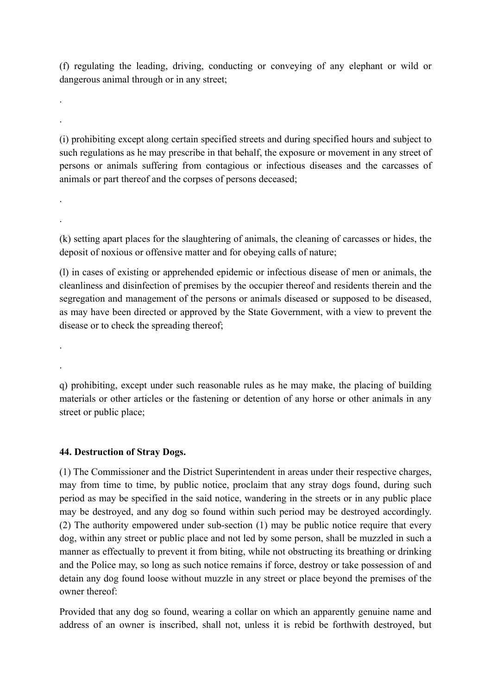(f) regulating the leading, driving, conducting or conveying of any elephant or wild or dangerous animal through or in any street;

(i) prohibiting except along certain specified streets and during specified hours and subject to such regulations as he may prescribe in that behalf, the exposure or movement in any street of persons or animals suffering from contagious or infectious diseases and the carcasses of animals or part thereof and the corpses of persons deceased;

(k) setting apart places for the slaughtering of animals, the cleaning of carcasses or hides, the deposit of noxious or offensive matter and for obeying calls of nature;

(l) in cases of existing or apprehended epidemic or infectious disease of men or animals, the cleanliness and disinfection of premises by the occupier thereof and residents therein and the segregation and management of the persons or animals diseased or supposed to be diseased, as may have been directed or approved by the State Government, with a view to prevent the disease or to check the spreading thereof;

q) prohibiting, except under such reasonable rules as he may make, the placing of building materials or other articles or the fastening or detention of any horse or other animals in any street or public place;

#### **44. Destruction of Stray Dogs.**

.

.

.

.

.

.

(1) The Commissioner and the District Superintendent in areas under their respective charges, may from time to time, by public notice, proclaim that any stray dogs found, during such period as may be specified in the said notice, wandering in the streets or in any public place may be destroyed, and any dog so found within such period may be destroyed accordingly. (2) The authority empowered under sub-section (1) may be public notice require that every dog, within any street or public place and not led by some person, shall be muzzled in such a manner as effectually to prevent it from biting, while not obstructing its breathing or drinking and the Police may, so long as such notice remains if force, destroy or take possession of and detain any dog found loose without muzzle in any street or place beyond the premises of the owner thereof:

Provided that any dog so found, wearing a collar on which an apparently genuine name and address of an owner is inscribed, shall not, unless it is rebid be forthwith destroyed, but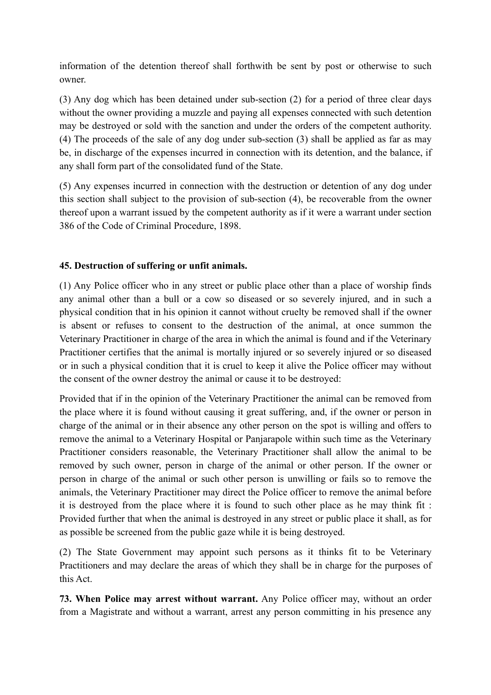information of the detention thereof shall forthwith be sent by post or otherwise to such owner.

(3) Any dog which has been detained under sub-section (2) for a period of three clear days without the owner providing a muzzle and paying all expenses connected with such detention may be destroyed or sold with the sanction and under the orders of the competent authority. (4) The proceeds of the sale of any dog under sub-section (3) shall be applied as far as may be, in discharge of the expenses incurred in connection with its detention, and the balance, if any shall form part of the consolidated fund of the State.

(5) Any expenses incurred in connection with the destruction or detention of any dog under this section shall subject to the provision of sub-section (4), be recoverable from the owner thereof upon a warrant issued by the competent authority as if it were a warrant under section 386 of the Code of Criminal Procedure, 1898.

#### **45. Destruction of suffering or unfit animals.**

(1) Any Police officer who in any street or public place other than a place of worship finds any animal other than a bull or a cow so diseased or so severely injured, and in such a physical condition that in his opinion it cannot without cruelty be removed shall if the owner is absent or refuses to consent to the destruction of the animal, at once summon the Veterinary Practitioner in charge of the area in which the animal is found and if the Veterinary Practitioner certifies that the animal is mortally injured or so severely injured or so diseased or in such a physical condition that it is cruel to keep it alive the Police officer may without the consent of the owner destroy the animal or cause it to be destroyed:

Provided that if in the opinion of the Veterinary Practitioner the animal can be removed from the place where it is found without causing it great suffering, and, if the owner or person in charge of the animal or in their absence any other person on the spot is willing and offers to remove the animal to a Veterinary Hospital or Panjarapole within such time as the Veterinary Practitioner considers reasonable, the Veterinary Practitioner shall allow the animal to be removed by such owner, person in charge of the animal or other person. If the owner or person in charge of the animal or such other person is unwilling or fails so to remove the animals, the Veterinary Practitioner may direct the Police officer to remove the animal before it is destroyed from the place where it is found to such other place as he may think fit : Provided further that when the animal is destroyed in any street or public place it shall, as for as possible be screened from the public gaze while it is being destroyed.

(2) The State Government may appoint such persons as it thinks fit to be Veterinary Practitioners and may declare the areas of which they shall be in charge for the purposes of this Act.

**73. When Police may arrest without warrant.** Any Police officer may, without an order from a Magistrate and without a warrant, arrest any person committing in his presence any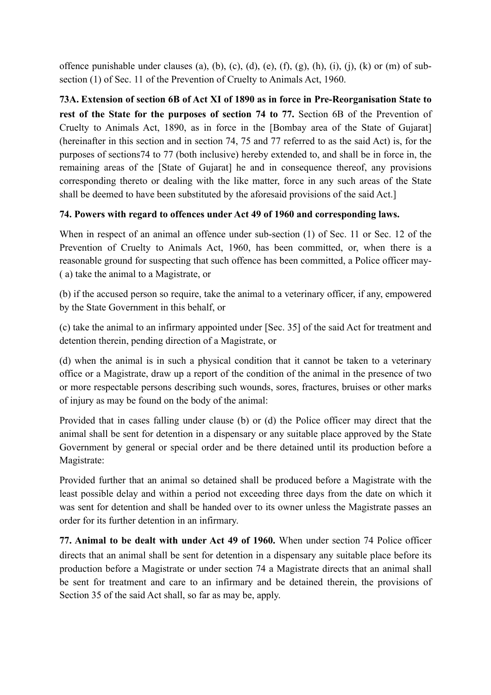offence punishable under clauses (a), (b), (c), (d), (e), (f), (g), (h), (i), (i), (k) or (m) of subsection (1) of Sec. 11 of the Prevention of Cruelty to Animals Act, 1960.

**73A. Extension of section 6B of Act XI of 1890 as in force in Pre-Reorganisation State to**  rest of the State for the purposes of section 74 to 77. Section 6B of the Prevention of Cruelty to Animals Act, 1890, as in force in the [Bombay area of the State of Gujarat] (hereinafter in this section and in section 74, 75 and 77 referred to as the said Act) is, for the purposes of sections74 to 77 (both inclusive) hereby extended to, and shall be in force in, the remaining areas of the [State of Gujarat] he and in consequence thereof, any provisions corresponding thereto or dealing with the like matter, force in any such areas of the State shall be deemed to have been substituted by the aforesaid provisions of the said Act.]

### **74. Powers with regard to offences under Act 49 of 1960 and corresponding laws.**

When in respect of an animal an offence under sub-section (1) of Sec. 11 or Sec. 12 of the Prevention of Cruelty to Animals Act, 1960, has been committed, or, when there is a reasonable ground for suspecting that such offence has been committed, a Police officer may- ( a) take the animal to a Magistrate, or

(b) if the accused person so require, take the animal to a veterinary officer, if any, empowered by the State Government in this behalf, or

(c) take the animal to an infirmary appointed under [Sec. 35] of the said Act for treatment and detention therein, pending direction of a Magistrate, or

(d) when the animal is in such a physical condition that it cannot be taken to a veterinary office or a Magistrate, draw up a report of the condition of the animal in the presence of two or more respectable persons describing such wounds, sores, fractures, bruises or other marks of injury as may be found on the body of the animal:

Provided that in cases falling under clause (b) or (d) the Police officer may direct that the animal shall be sent for detention in a dispensary or any suitable place approved by the State Government by general or special order and be there detained until its production before a Magistrate:

Provided further that an animal so detained shall be produced before a Magistrate with the least possible delay and within a period not exceeding three days from the date on which it was sent for detention and shall be handed over to its owner unless the Magistrate passes an order for its further detention in an infirmary.

**77. Animal to be dealt with under Act 49 of 1960.** When under section 74 Police officer directs that an animal shall be sent for detention in a dispensary any suitable place before its production before a Magistrate or under section 74 a Magistrate directs that an animal shall be sent for treatment and care to an infirmary and be detained therein, the provisions of Section 35 of the said Act shall, so far as may be, apply.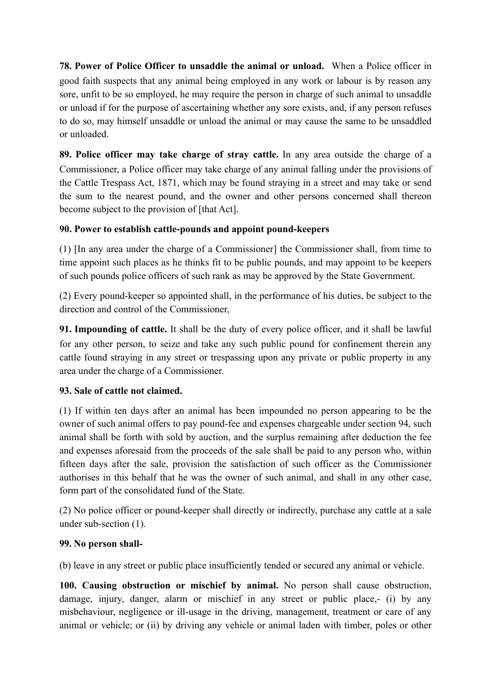**78. Power of Police Officer to unsaddle the animal or unload.** When a Police officer in good faith suspects that any animal being employed in any work or labour is by reason any sore, unfit to be so employed, he may require the person in charge of such animal to unsaddle or unload if for the purpose of ascertaining whether any sore exists, and, if any person refuses to do so, may himself unsaddle or unload the animal or may cause the same to be unsaddled or unloaded.

**89. Police officer may take charge of stray cattle.** In any area outside the charge of a Commissioner, a Police officer may take charge of any animal falling under the provisions of the Cattle Trespass Act, 1871, which may be found straying in a street and may take or send the sum to the nearest pound, and the owner and other persons concerned shall thereon become subject to the provision of [that Act].

# **90. Power to establish cattle-pounds and appoint pound-keepers**

(1) [In any area under the charge of a Commissioner] the Commissioner shall, from time to time appoint such places as he thinks fit to be public pounds, and may appoint to be keepers of such pounds police officers of such rank as may be approved by the State Government.

(2) Every pound-keeper so appointed shall, in the performance of his duties, be subject to the direction and control of the Commissioner,

**91. Impounding of cattle.** It shall be the duty of every police officer, and it shall be lawful for any other person, to seize and take any such public pound for confinement therein any cattle found straying in any street or trespassing upon any private or public property in any area under the charge of a Commissioner.

# **93. Sale of cattle not claimed.**

(1) If within ten days after an animal has been impounded no person appearing to be the owner of such animal offers to pay pound-fee and expenses chargeable under section 94, such animal shall be forth with sold by auction, and the surplus remaining after deduction the fee and expenses aforesaid from the proceeds of the sale shall be paid to any person who, within fifteen days after the sale, provision the satisfaction of such officer as the Commissioner authorises in this behalf that he was the owner of such animal, and shall in any other case, form part of the consolidated fund of the State.

(2) No police officer or pound-keeper shall directly or indirectly, purchase any cattle at a sale under sub-section (1).

# **99. No person shall-**

(b) leave in any street or public place insufficiently tended or secured any animal or vehicle.

**100. Causing obstruction or mischief by animal.** No person shall cause obstruction, damage, injury, danger, alarm or mischief in any street or public place,- (i) by any misbehaviour, negligence or ill-usage in the driving, management, treatment or care of any animal or vehicle; or (ii) by driving any vehicle or animal laden with timber, poles or other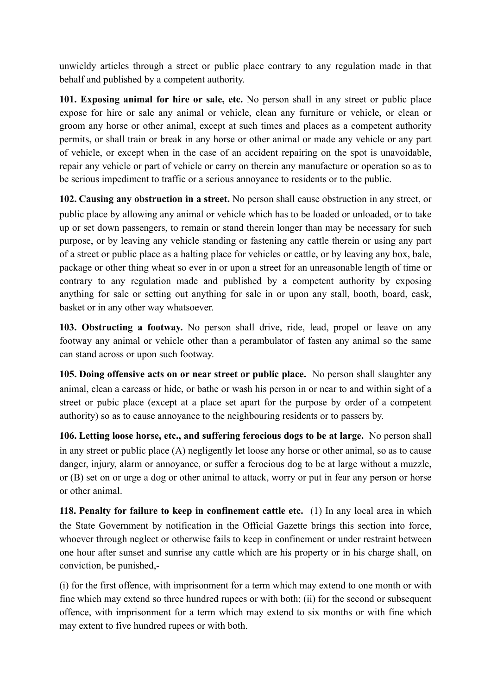unwieldy articles through a street or public place contrary to any regulation made in that behalf and published by a competent authority.

**101. Exposing animal for hire or sale, etc.** No person shall in any street or public place expose for hire or sale any animal or vehicle, clean any furniture or vehicle, or clean or groom any horse or other animal, except at such times and places as a competent authority permits, or shall train or break in any horse or other animal or made any vehicle or any part of vehicle, or except when in the case of an accident repairing on the spot is unavoidable, repair any vehicle or part of vehicle or carry on therein any manufacture or operation so as to be serious impediment to traffic or a serious annoyance to residents or to the public.

**102. Causing any obstruction in a street.** No person shall cause obstruction in any street, or public place by allowing any animal or vehicle which has to be loaded or unloaded, or to take up or set down passengers, to remain or stand therein longer than may be necessary for such purpose, or by leaving any vehicle standing or fastening any cattle therein or using any part of a street or public place as a halting place for vehicles or cattle, or by leaving any box, bale, package or other thing wheat so ever in or upon a street for an unreasonable length of time or contrary to any regulation made and published by a competent authority by exposing anything for sale or setting out anything for sale in or upon any stall, booth, board, cask, basket or in any other way whatsoever.

**103. Obstructing a footway.** No person shall drive, ride, lead, propel or leave on any footway any animal or vehicle other than a perambulator of fasten any animal so the same can stand across or upon such footway.

**105. Doing offensive acts on or near street or public place.** No person shall slaughter any animal, clean a carcass or hide, or bathe or wash his person in or near to and within sight of a street or pubic place (except at a place set apart for the purpose by order of a competent authority) so as to cause annoyance to the neighbouring residents or to passers by.

**106. Letting loose horse, etc., and suffering ferocious dogs to be at large.** No person shall in any street or public place (A) negligently let loose any horse or other animal, so as to cause danger, injury, alarm or annoyance, or suffer a ferocious dog to be at large without a muzzle, or (B) set on or urge a dog or other animal to attack, worry or put in fear any person or horse or other animal.

**118. Penalty for failure to keep in confinement cattle etc.** (1) In any local area in which the State Government by notification in the Official Gazette brings this section into force, whoever through neglect or otherwise fails to keep in confinement or under restraint between one hour after sunset and sunrise any cattle which are his property or in his charge shall, on conviction, be punished,-

(i) for the first offence, with imprisonment for a term which may extend to one month or with fine which may extend so three hundred rupees or with both; (ii) for the second or subsequent offence, with imprisonment for a term which may extend to six months or with fine which may extent to five hundred rupees or with both.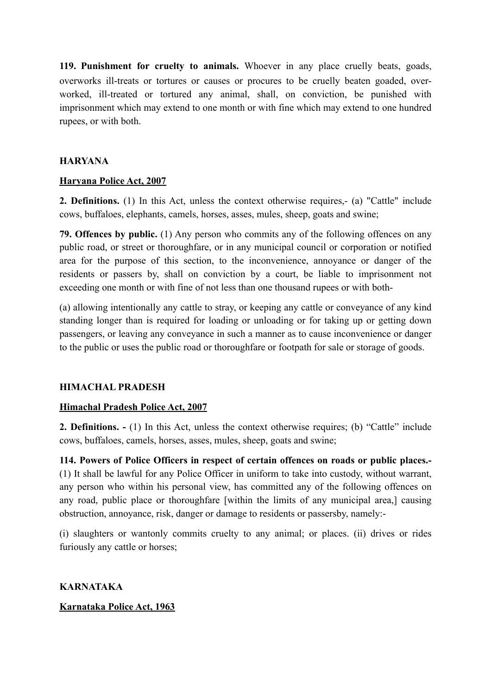**119. Punishment for cruelty to animals.** Whoever in any place cruelly beats, goads, overworks ill-treats or tortures or causes or procures to be cruelly beaten goaded, overworked, ill-treated or tortured any animal, shall, on conviction, be punished with imprisonment which may extend to one month or with fine which may extend to one hundred rupees, or with both.

#### **HARYANA**

#### **Haryana Police Act, 2007**

**2. Definitions.** (1) In this Act, unless the context otherwise requires,- (a) "Cattle" include cows, buffaloes, elephants, camels, horses, asses, mules, sheep, goats and swine;

**79. Offences by public.** (1) Any person who commits any of the following offences on any public road, or street or thoroughfare, or in any municipal council or corporation or notified area for the purpose of this section, to the inconvenience, annoyance or danger of the residents or passers by, shall on conviction by a court, be liable to imprisonment not exceeding one month or with fine of not less than one thousand rupees or with both-

(a) allowing intentionally any cattle to stray, or keeping any cattle or conveyance of any kind standing longer than is required for loading or unloading or for taking up or getting down passengers, or leaving any conveyance in such a manner as to cause inconvenience or danger to the public or uses the public road or thoroughfare or footpath for sale or storage of goods.

#### **HIMACHAL PRADESH**

#### **Himachal Pradesh Police Act, 2007**

**2. Definitions. -** (1) In this Act, unless the context otherwise requires; (b) "Cattle" include cows, buffaloes, camels, horses, asses, mules, sheep, goats and swine;

**114. Powers of Police Officers in respect of certain offences on roads or public places.-** (1) It shall be lawful for any Police Officer in uniform to take into custody, without warrant, any person who within his personal view, has committed any of the following offences on any road, public place or thoroughfare [within the limits of any municipal area,] causing obstruction, annoyance, risk, danger or damage to residents or passersby, namely:-

(i) slaughters or wantonly commits cruelty to any animal; or places. (ii) drives or rides furiously any cattle or horses;

**KARNATAKA Karnataka Police Act, 1963**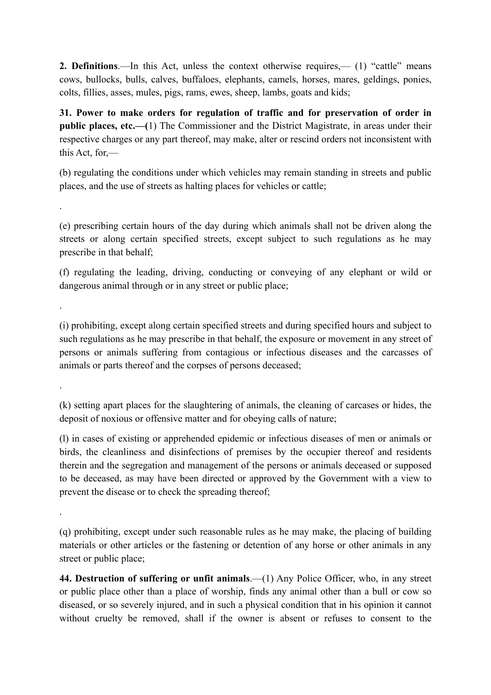**2. Definitions**.—In this Act, unless the context otherwise requires,— (1) "cattle" means cows, bullocks, bulls, calves, buffaloes, elephants, camels, horses, mares, geldings, ponies, colts, fillies, asses, mules, pigs, rams, ewes, sheep, lambs, goats and kids;

**31. Power to make orders for regulation of traffic and for preservation of order in public places, etc.—(**1) The Commissioner and the District Magistrate, in areas under their respective charges or any part thereof, may make, alter or rescind orders not inconsistent with this Act, for,—

(b) regulating the conditions under which vehicles may remain standing in streets and public places, and the use of streets as halting places for vehicles or cattle;

.

.

.

.

(e) prescribing certain hours of the day during which animals shall not be driven along the streets or along certain specified streets, except subject to such regulations as he may prescribe in that behalf;

(f) regulating the leading, driving, conducting or conveying of any elephant or wild or dangerous animal through or in any street or public place;

(i) prohibiting, except along certain specified streets and during specified hours and subject to such regulations as he may prescribe in that behalf, the exposure or movement in any street of persons or animals suffering from contagious or infectious diseases and the carcasses of animals or parts thereof and the corpses of persons deceased;

(k) setting apart places for the slaughtering of animals, the cleaning of carcases or hides, the deposit of noxious or offensive matter and for obeying calls of nature;

(l) in cases of existing or apprehended epidemic or infectious diseases of men or animals or birds, the cleanliness and disinfections of premises by the occupier thereof and residents therein and the segregation and management of the persons or animals deceased or supposed to be deceased, as may have been directed or approved by the Government with a view to prevent the disease or to check the spreading thereof;

(q) prohibiting, except under such reasonable rules as he may make, the placing of building materials or other articles or the fastening or detention of any horse or other animals in any street or public place;

**44. Destruction of suffering or unfit animals**.—(1) Any Police Officer, who, in any street or public place other than a place of worship, finds any animal other than a bull or cow so diseased, or so severely injured, and in such a physical condition that in his opinion it cannot without cruelty be removed, shall if the owner is absent or refuses to consent to the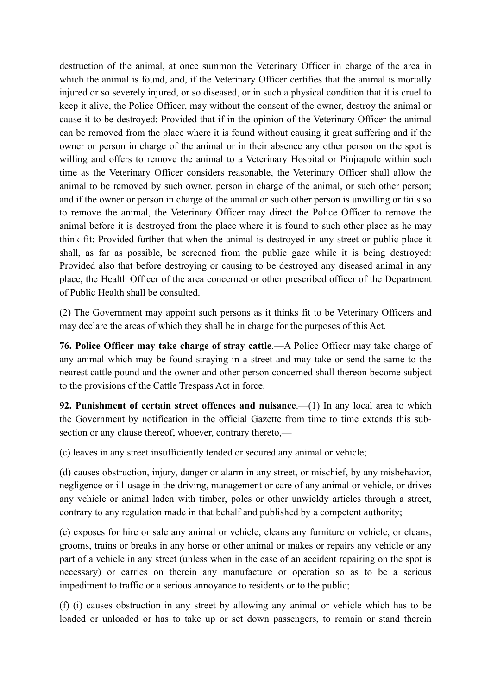destruction of the animal, at once summon the Veterinary Officer in charge of the area in which the animal is found, and, if the Veterinary Officer certifies that the animal is mortally injured or so severely injured, or so diseased, or in such a physical condition that it is cruel to keep it alive, the Police Officer, may without the consent of the owner, destroy the animal or cause it to be destroyed: Provided that if in the opinion of the Veterinary Officer the animal can be removed from the place where it is found without causing it great suffering and if the owner or person in charge of the animal or in their absence any other person on the spot is willing and offers to remove the animal to a Veterinary Hospital or Pinjrapole within such time as the Veterinary Officer considers reasonable, the Veterinary Officer shall allow the animal to be removed by such owner, person in charge of the animal, or such other person; and if the owner or person in charge of the animal or such other person is unwilling or fails so to remove the animal, the Veterinary Officer may direct the Police Officer to remove the animal before it is destroyed from the place where it is found to such other place as he may think fit: Provided further that when the animal is destroyed in any street or public place it shall, as far as possible, be screened from the public gaze while it is being destroyed: Provided also that before destroying or causing to be destroyed any diseased animal in any place, the Health Officer of the area concerned or other prescribed officer of the Department of Public Health shall be consulted.

(2) The Government may appoint such persons as it thinks fit to be Veterinary Officers and may declare the areas of which they shall be in charge for the purposes of this Act.

**76. Police Officer may take charge of stray cattle**.—A Police Officer may take charge of any animal which may be found straying in a street and may take or send the same to the nearest cattle pound and the owner and other person concerned shall thereon become subject to the provisions of the Cattle Trespass Act in force.

**92. Punishment of certain street offences and nuisance**.—(1) In any local area to which the Government by notification in the official Gazette from time to time extends this subsection or any clause thereof, whoever, contrary thereto,—

(c) leaves in any street insufficiently tended or secured any animal or vehicle;

(d) causes obstruction, injury, danger or alarm in any street, or mischief, by any misbehavior, negligence or ill-usage in the driving, management or care of any animal or vehicle, or drives any vehicle or animal laden with timber, poles or other unwieldy articles through a street, contrary to any regulation made in that behalf and published by a competent authority;

(e) exposes for hire or sale any animal or vehicle, cleans any furniture or vehicle, or cleans, grooms, trains or breaks in any horse or other animal or makes or repairs any vehicle or any part of a vehicle in any street (unless when in the case of an accident repairing on the spot is necessary) or carries on therein any manufacture or operation so as to be a serious impediment to traffic or a serious annoyance to residents or to the public;

(f) (i) causes obstruction in any street by allowing any animal or vehicle which has to be loaded or unloaded or has to take up or set down passengers, to remain or stand therein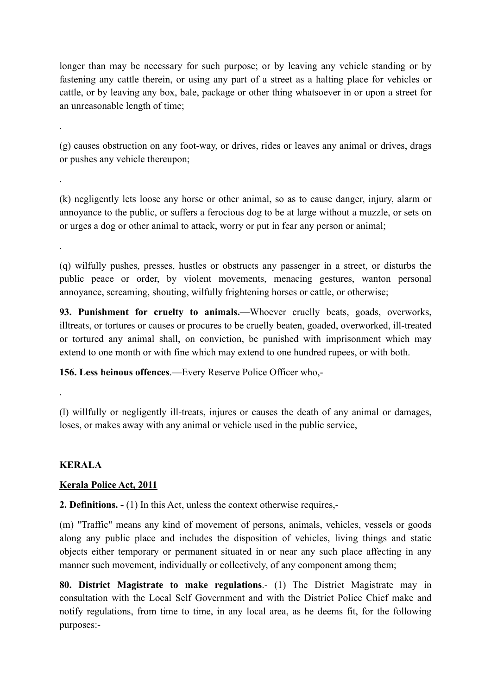longer than may be necessary for such purpose; or by leaving any vehicle standing or by fastening any cattle therein, or using any part of a street as a halting place for vehicles or cattle, or by leaving any box, bale, package or other thing whatsoever in or upon a street for an unreasonable length of time;

(g) causes obstruction on any foot-way, or drives, rides or leaves any animal or drives, drags or pushes any vehicle thereupon;

(k) negligently lets loose any horse or other animal, so as to cause danger, injury, alarm or annoyance to the public, or suffers a ferocious dog to be at large without a muzzle, or sets on or urges a dog or other animal to attack, worry or put in fear any person or animal;

(q) wilfully pushes, presses, hustles or obstructs any passenger in a street, or disturbs the public peace or order, by violent movements, menacing gestures, wanton personal annoyance, screaming, shouting, wilfully frightening horses or cattle, or otherwise;

**93. Punishment for cruelty to animals.—**Whoever cruelly beats, goads, overworks, illtreats, or tortures or causes or procures to be cruelly beaten, goaded, overworked, ill-treated or tortured any animal shall, on conviction, be punished with imprisonment which may extend to one month or with fine which may extend to one hundred rupees, or with both.

**156. Less heinous offences**.—Every Reserve Police Officer who,-

(l) willfully or negligently ill-treats, injures or causes the death of any animal or damages, loses, or makes away with any animal or vehicle used in the public service,

# **KERALA**

.

.

.

.

#### **Kerala Police Act, 2011**

**2. Definitions. -** (1) In this Act, unless the context otherwise requires,-

(m) "Traffic" means any kind of movement of persons, animals, vehicles, vessels or goods along any public place and includes the disposition of vehicles, living things and static objects either temporary or permanent situated in or near any such place affecting in any manner such movement, individually or collectively, of any component among them;

**80. District Magistrate to make regulations**.- (1) The District Magistrate may in consultation with the Local Self Government and with the District Police Chief make and notify regulations, from time to time, in any local area, as he deems fit, for the following purposes:-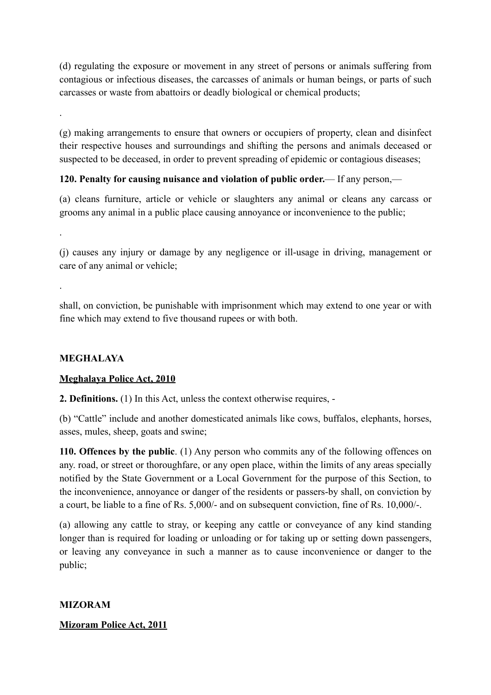(d) regulating the exposure or movement in any street of persons or animals suffering from contagious or infectious diseases, the carcasses of animals or human beings, or parts of such carcasses or waste from abattoirs or deadly biological or chemical products;

(g) making arrangements to ensure that owners or occupiers of property, clean and disinfect their respective houses and surroundings and shifting the persons and animals deceased or suspected to be deceased, in order to prevent spreading of epidemic or contagious diseases;

# **120. Penalty for causing nuisance and violation of public order.**— If any person,—

(a) cleans furniture, article or vehicle or slaughters any animal or cleans any carcass or grooms any animal in a public place causing annoyance or inconvenience to the public;

(j) causes any injury or damage by any negligence or ill-usage in driving, management or care of any animal or vehicle;

shall, on conviction, be punishable with imprisonment which may extend to one year or with fine which may extend to five thousand rupees or with both.

# **MEGHALAYA**

.

.

.

# **Meghalaya Police Act, 2010**

**2. Definitions.** (1) In this Act, unless the context otherwise requires, -

(b) "Cattle" include and another domesticated animals like cows, buffalos, elephants, horses, asses, mules, sheep, goats and swine;

**110. Offences by the public**. (1) Any person who commits any of the following offences on any. road, or street or thoroughfare, or any open place, within the limits of any areas specially notified by the State Government or a Local Government for the purpose of this Section, to the inconvenience, annoyance or danger of the residents or passers-by shall, on conviction by a court, be liable to a fine of Rs. 5,000/- and on subsequent conviction, fine of Rs. 10,000/-.

(a) allowing any cattle to stray, or keeping any cattle or conveyance of any kind standing longer than is required for loading or unloading or for taking up or setting down passengers, or leaving any conveyance in such a manner as to cause inconvenience or danger to the public;

# **MIZORAM**

# **Mizoram Police Act, 2011**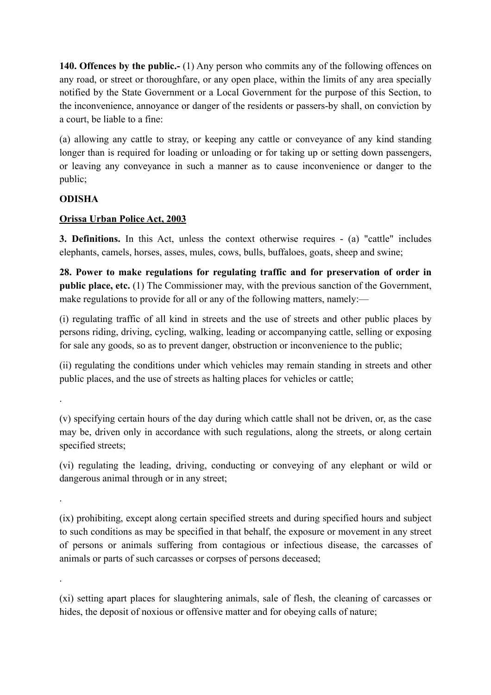**140. Offences by the public.-** (1) Any person who commits any of the following offences on any road, or street or thoroughfare, or any open place, within the limits of any area specially notified by the State Government or a Local Government for the purpose of this Section, to the inconvenience, annoyance or danger of the residents or passers-by shall, on conviction by a court, be liable to a fine:

(a) allowing any cattle to stray, or keeping any cattle or conveyance of any kind standing longer than is required for loading or unloading or for taking up or setting down passengers, or leaving any conveyance in such a manner as to cause inconvenience or danger to the public;

# **ODISHA**

.

.

.

# **Orissa Urban Police Act, 2003**

**3. Definitions.** In this Act, unless the context otherwise requires - (a) "cattle" includes elephants, camels, horses, asses, mules, cows, bulls, buffaloes, goats, sheep and swine;

**28. Power to make regulations for regulating traffic and for preservation of order in public place, etc.** (1) The Commissioner may, with the previous sanction of the Government, make regulations to provide for all or any of the following matters, namely:—

(i) regulating traffic of all kind in streets and the use of streets and other public places by persons riding, driving, cycling, walking, leading or accompanying cattle, selling or exposing for sale any goods, so as to prevent danger, obstruction or inconvenience to the public;

(ii) regulating the conditions under which vehicles may remain standing in streets and other public places, and the use of streets as halting places for vehicles or cattle;

(v) specifying certain hours of the day during which cattle shall not be driven, or, as the case may be, driven only in accordance with such regulations, along the streets, or along certain specified streets;

(vi) regulating the leading, driving, conducting or conveying of any elephant or wild or dangerous animal through or in any street;

(ix) prohibiting, except along certain specified streets and during specified hours and subject to such conditions as may be specified in that behalf, the exposure or movement in any street of persons or animals suffering from contagious or infectious disease, the carcasses of animals or parts of such carcasses or corpses of persons deceased;

(xi) setting apart places for slaughtering animals, sale of flesh, the cleaning of carcasses or hides, the deposit of noxious or offensive matter and for obeying calls of nature;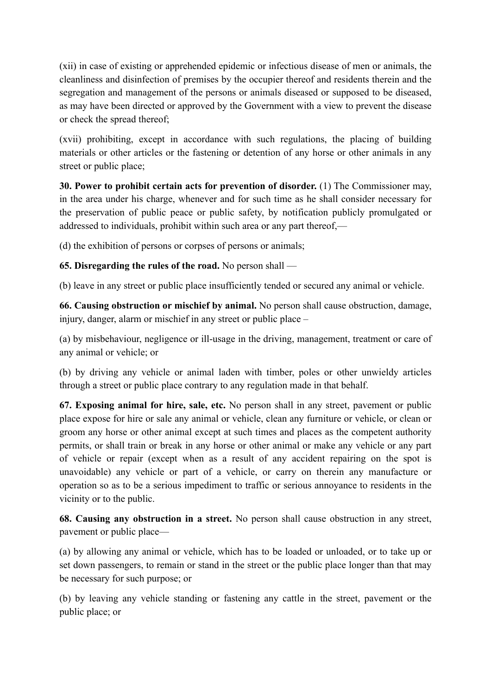(xii) in case of existing or apprehended epidemic or infectious disease of men or animals, the cleanliness and disinfection of premises by the occupier thereof and residents therein and the segregation and management of the persons or animals diseased or supposed to be diseased, as may have been directed or approved by the Government with a view to prevent the disease or check the spread thereof;

(xvii) prohibiting, except in accordance with such regulations, the placing of building materials or other articles or the fastening or detention of any horse or other animals in any street or public place;

**30. Power to prohibit certain acts for prevention of disorder.** (1) The Commissioner may, in the area under his charge, whenever and for such time as he shall consider necessary for the preservation of public peace or public safety, by notification publicly promulgated or addressed to individuals, prohibit within such area or any part thereof,—

(d) the exhibition of persons or corpses of persons or animals;

# **65. Disregarding the rules of the road.** No person shall —

(b) leave in any street or public place insufficiently tended or secured any animal or vehicle.

**66. Causing obstruction or mischief by animal.** No person shall cause obstruction, damage, injury, danger, alarm or mischief in any street or public place –

(a) by misbehaviour, negligence or ill-usage in the driving, management, treatment or care of any animal or vehicle; or

(b) by driving any vehicle or animal laden with timber, poles or other unwieldy articles through a street or public place contrary to any regulation made in that behalf.

**67. Exposing animal for hire, sale, etc.** No person shall in any street, pavement or public place expose for hire or sale any animal or vehicle, clean any furniture or vehicle, or clean or groom any horse or other animal except at such times and places as the competent authority permits, or shall train or break in any horse or other animal or make any vehicle or any part of vehicle or repair (except when as a result of any accident repairing on the spot is unavoidable) any vehicle or part of a vehicle, or carry on therein any manufacture or operation so as to be a serious impediment to traffic or serious annoyance to residents in the vicinity or to the public.

**68. Causing any obstruction in a street.** No person shall cause obstruction in any street, pavement or public place—

(a) by allowing any animal or vehicle, which has to be loaded or unloaded, or to take up or set down passengers, to remain or stand in the street or the public place longer than that may be necessary for such purpose; or

(b) by leaving any vehicle standing or fastening any cattle in the street, pavement or the public place; or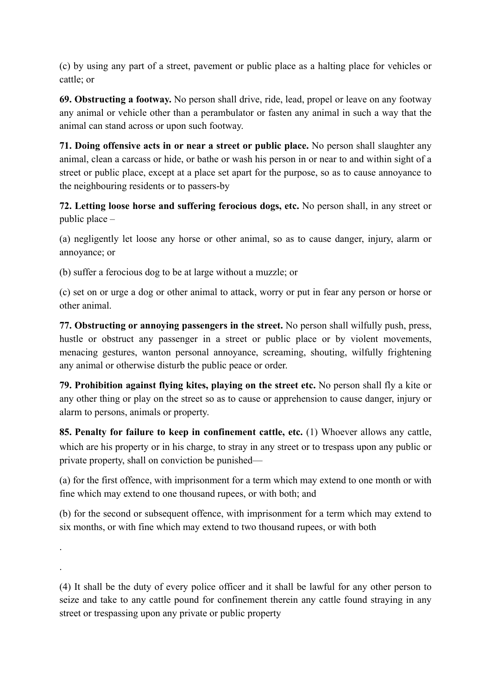(c) by using any part of a street, pavement or public place as a halting place for vehicles or cattle; or

**69. Obstructing a footway.** No person shall drive, ride, lead, propel or leave on any footway any animal or vehicle other than a perambulator or fasten any animal in such a way that the animal can stand across or upon such footway.

**71. Doing offensive acts in or near a street or public place.** No person shall slaughter any animal, clean a carcass or hide, or bathe or wash his person in or near to and within sight of a street or public place, except at a place set apart for the purpose, so as to cause annoyance to the neighbouring residents or to passers-by

**72. Letting loose horse and suffering ferocious dogs, etc.** No person shall, in any street or public place –

(a) negligently let loose any horse or other animal, so as to cause danger, injury, alarm or annoyance; or

(b) suffer a ferocious dog to be at large without a muzzle; or

.

.

(c) set on or urge a dog or other animal to attack, worry or put in fear any person or horse or other animal.

**77. Obstructing or annoying passengers in the street.** No person shall wilfully push, press, hustle or obstruct any passenger in a street or public place or by violent movements, menacing gestures, wanton personal annoyance, screaming, shouting, wilfully frightening any animal or otherwise disturb the public peace or order.

**79. Prohibition against flying kites, playing on the street etc.** No person shall fly a kite or any other thing or play on the street so as to cause or apprehension to cause danger, injury or alarm to persons, animals or property.

**85. Penalty for failure to keep in confinement cattle, etc.** (1) Whoever allows any cattle, which are his property or in his charge, to stray in any street or to trespass upon any public or private property, shall on conviction be punished—

(a) for the first offence, with imprisonment for a term which may extend to one month or with fine which may extend to one thousand rupees, or with both; and

(b) for the second or subsequent offence, with imprisonment for a term which may extend to six months, or with fine which may extend to two thousand rupees, or with both

(4) It shall be the duty of every police officer and it shall be lawful for any other person to seize and take to any cattle pound for confinement therein any cattle found straying in any street or trespassing upon any private or public property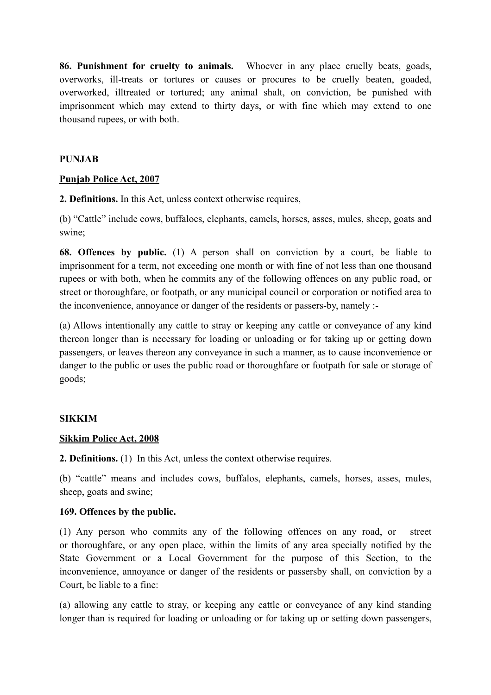**86. Punishment for cruelty to animals.** Whoever in any place cruelly beats, goads, overworks, ill-treats or tortures or causes or procures to be cruelly beaten, goaded, overworked, illtreated or tortured; any animal shalt, on conviction, be punished with imprisonment which may extend to thirty days, or with fine which may extend to one thousand rupees, or with both.

#### **PUNJAB**

#### **Punjab Police Act, 2007**

**2. Definitions.** In this Act, unless context otherwise requires,

(b) "Cattle" include cows, buffaloes, elephants, camels, horses, asses, mules, sheep, goats and swine;

**68. Offences by public.** (1) A person shall on conviction by a court, be liable to imprisonment for a term, not exceeding one month or with fine of not less than one thousand rupees or with both, when he commits any of the following offences on any public road, or street or thoroughfare, or footpath, or any municipal council or corporation or notified area to the inconvenience, annoyance or danger of the residents or passers-by, namely :-

(a) Allows intentionally any cattle to stray or keeping any cattle or conveyance of any kind thereon longer than is necessary for loading or unloading or for taking up or getting down passengers, or leaves thereon any conveyance in such a manner, as to cause inconvenience or danger to the public or uses the public road or thoroughfare or footpath for sale or storage of goods;

#### **SIKKIM**

#### **Sikkim Police Act, 2008**

**2. Definitions.** (1) In this Act, unless the context otherwise requires.

(b) "cattle" means and includes cows, buffalos, elephants, camels, horses, asses, mules, sheep, goats and swine;

#### **169. Offences by the public.**

(1) Any person who commits any of the following offences on any road, or street or thoroughfare, or any open place, within the limits of any area specially notified by the State Government or a Local Government for the purpose of this Section, to the inconvenience, annoyance or danger of the residents or passersby shall, on conviction by a Court, be liable to a fine:

(a) allowing any cattle to stray, or keeping any cattle or conveyance of any kind standing longer than is required for loading or unloading or for taking up or setting down passengers,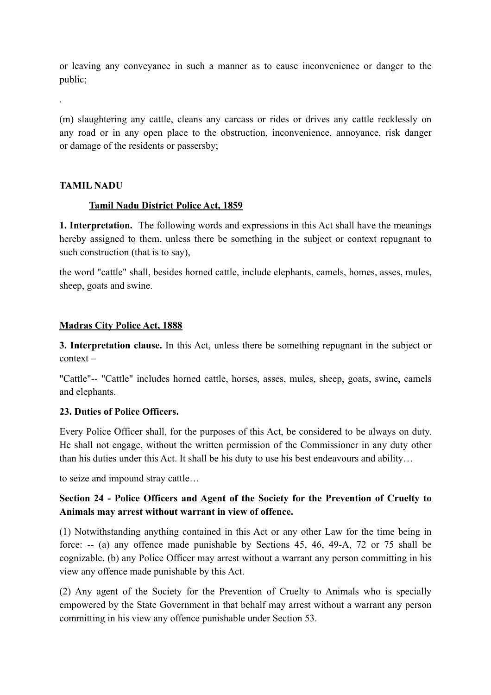or leaving any conveyance in such a manner as to cause inconvenience or danger to the public;

(m) slaughtering any cattle, cleans any carcass or rides or drives any cattle recklessly on any road or in any open place to the obstruction, inconvenience, annoyance, risk danger or damage of the residents or passersby;

#### **TAMIL NADU**

.

#### **Tamil Nadu District Police Act, 1859**

**1. Interpretation.** The following words and expressions in this Act shall have the meanings hereby assigned to them, unless there be something in the subject or context repugnant to such construction (that is to say),

the word "cattle" shall, besides horned cattle, include elephants, camels, homes, asses, mules, sheep, goats and swine.

#### **Madras City Police Act, 1888**

**3. Interpretation clause.** In this Act, unless there be something repugnant in the subject or context –

"Cattle"-- "Cattle" includes horned cattle, horses, asses, mules, sheep, goats, swine, camels and elephants.

#### **23. Duties of Police Officers.**

Every Police Officer shall, for the purposes of this Act, be considered to be always on duty. He shall not engage, without the written permission of the Commissioner in any duty other than his duties under this Act. It shall be his duty to use his best endeavours and ability…

to seize and impound stray cattle…

# **Section 24 - Police Officers and Agent of the Society for the Prevention of Cruelty to Animals may arrest without warrant in view of offence.**

(1) Notwithstanding anything contained in this Act or any other Law for the time being in force: -- (a) any offence made punishable by Sections 45, 46, 49-A, 72 or 75 shall be cognizable. (b) any Police Officer may arrest without a warrant any person committing in his view any offence made punishable by this Act.

(2) Any agent of the Society for the Prevention of Cruelty to Animals who is specially empowered by the State Government in that behalf may arrest without a warrant any person committing in his view any offence punishable under Section 53.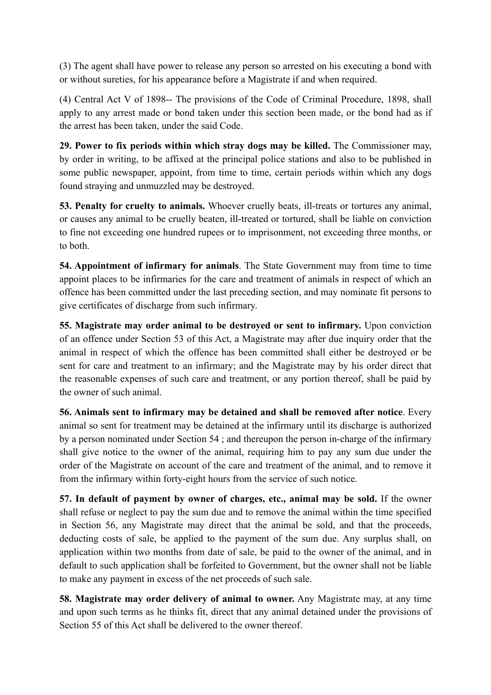(3) The agent shall have power to release any person so arrested on his executing a bond with or without sureties, for his appearance before a Magistrate if and when required.

(4) Central Act V of 1898-- The provisions of the Code of Criminal Procedure, 1898, shall apply to any arrest made or bond taken under this section been made, or the bond had as if the arrest has been taken, under the said Code.

**29. Power to fix periods within which stray dogs may be killed.** The Commissioner may, by order in writing, to be affixed at the principal police stations and also to be published in some public newspaper, appoint, from time to time, certain periods within which any dogs found straying and unmuzzled may be destroyed.

**53. Penalty for cruelty to animals.** Whoever cruelly beats, ill-treats or tortures any animal, or causes any animal to be cruelly beaten, ill-treated or tortured, shall be liable on conviction to fine not exceeding one hundred rupees or to imprisonment, not exceeding three months, or to both.

**54. Appointment of infirmary for animals**. The State Government may from time to time appoint places to be infirmaries for the care and treatment of animals in respect of which an offence has been committed under the last preceding section, and may nominate fit persons to give certificates of discharge from such infirmary.

**55. Magistrate may order animal to be destroyed or sent to infirmary.** Upon conviction of an offence under Section 53 of this Act, a Magistrate may after due inquiry order that the animal in respect of which the offence has been committed shall either be destroyed or be sent for care and treatment to an infirmary; and the Magistrate may by his order direct that the reasonable expenses of such care and treatment, or any portion thereof, shall be paid by the owner of such animal.

**56. Animals sent to infirmary may be detained and shall be removed after notice**. Every animal so sent for treatment may be detained at the infirmary until its discharge is authorized by a person nominated under Section 54 ; and thereupon the person in-charge of the infirmary shall give notice to the owner of the animal, requiring him to pay any sum due under the order of the Magistrate on account of the care and treatment of the animal, and to remove it from the infirmary within forty-eight hours from the service of such notice.

**57. In default of payment by owner of charges, etc., animal may be sold.** If the owner shall refuse or neglect to pay the sum due and to remove the animal within the time specified in Section 56, any Magistrate may direct that the animal be sold, and that the proceeds, deducting costs of sale, be applied to the payment of the sum due. Any surplus shall, on application within two months from date of sale, be paid to the owner of the animal, and in default to such application shall be forfeited to Government, but the owner shall not be liable to make any payment in excess of the net proceeds of such sale.

**58. Magistrate may order delivery of animal to owner.** Any Magistrate may, at any time and upon such terms as he thinks fit, direct that any animal detained under the provisions of Section 55 of this Act shall be delivered to the owner thereof.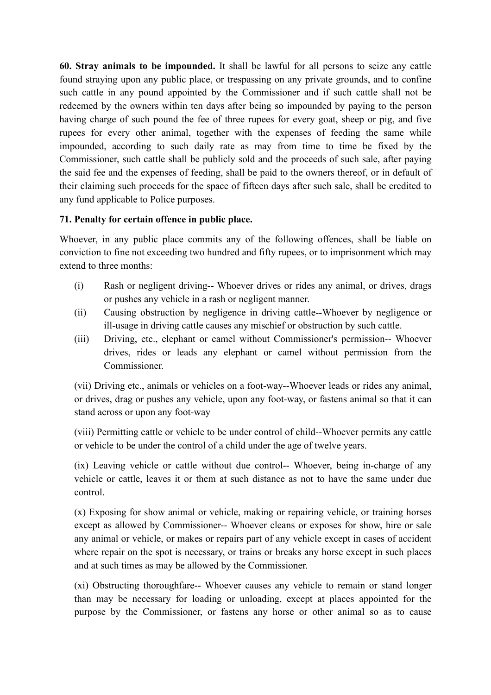**60. Stray animals to be impounded.** It shall be lawful for all persons to seize any cattle found straying upon any public place, or trespassing on any private grounds, and to confine such cattle in any pound appointed by the Commissioner and if such cattle shall not be redeemed by the owners within ten days after being so impounded by paying to the person having charge of such pound the fee of three rupees for every goat, sheep or pig, and five rupees for every other animal, together with the expenses of feeding the same while impounded, according to such daily rate as may from time to time be fixed by the Commissioner, such cattle shall be publicly sold and the proceeds of such sale, after paying the said fee and the expenses of feeding, shall be paid to the owners thereof, or in default of their claiming such proceeds for the space of fifteen days after such sale, shall be credited to any fund applicable to Police purposes.

### **71. Penalty for certain offence in public place.**

Whoever, in any public place commits any of the following offences, shall be liable on conviction to fine not exceeding two hundred and fifty rupees, or to imprisonment which may extend to three months:

- (i) Rash or negligent driving-- Whoever drives or rides any animal, or drives, drags or pushes any vehicle in a rash or negligent manner.
- (ii) Causing obstruction by negligence in driving cattle--Whoever by negligence or ill-usage in driving cattle causes any mischief or obstruction by such cattle.
- (iii) Driving, etc., elephant or camel without Commissioner's permission-- Whoever drives, rides or leads any elephant or camel without permission from the Commissioner.

(vii) Driving etc., animals or vehicles on a foot-way--Whoever leads or rides any animal, or drives, drag or pushes any vehicle, upon any foot-way, or fastens animal so that it can stand across or upon any foot-way

(viii) Permitting cattle or vehicle to be under control of child--Whoever permits any cattle or vehicle to be under the control of a child under the age of twelve years.

(ix) Leaving vehicle or cattle without due control-- Whoever, being in-charge of any vehicle or cattle, leaves it or them at such distance as not to have the same under due control.

(x) Exposing for show animal or vehicle, making or repairing vehicle, or training horses except as allowed by Commissioner-- Whoever cleans or exposes for show, hire or sale any animal or vehicle, or makes or repairs part of any vehicle except in cases of accident where repair on the spot is necessary, or trains or breaks any horse except in such places and at such times as may be allowed by the Commissioner.

(xi) Obstructing thoroughfare-- Whoever causes any vehicle to remain or stand longer than may be necessary for loading or unloading, except at places appointed for the purpose by the Commissioner, or fastens any horse or other animal so as to cause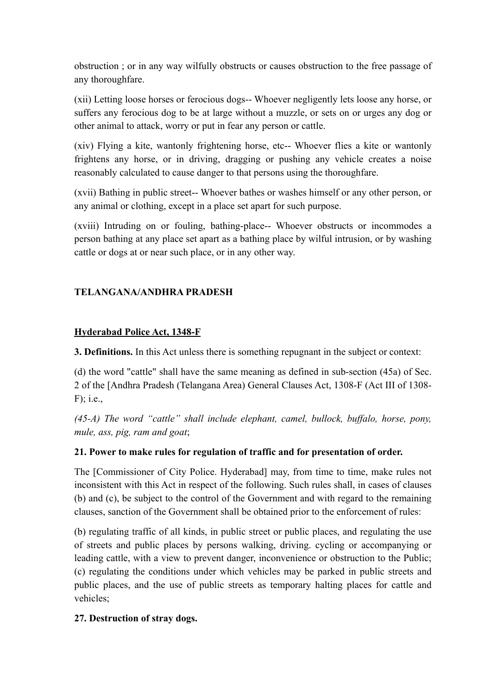obstruction ; or in any way wilfully obstructs or causes obstruction to the free passage of any thoroughfare.

(xii) Letting loose horses or ferocious dogs-- Whoever negligently lets loose any horse, or suffers any ferocious dog to be at large without a muzzle, or sets on or urges any dog or other animal to attack, worry or put in fear any person or cattle.

(xiv) Flying a kite, wantonly frightening horse, etc-- Whoever flies a kite or wantonly frightens any horse, or in driving, dragging or pushing any vehicle creates a noise reasonably calculated to cause danger to that persons using the thoroughfare.

(xvii) Bathing in public street-- Whoever bathes or washes himself or any other person, or any animal or clothing, except in a place set apart for such purpose.

(xviii) Intruding on or fouling, bathing-place-- Whoever obstructs or incommodes a person bathing at any place set apart as a bathing place by wilful intrusion, or by washing cattle or dogs at or near such place, or in any other way.

### **TELANGANA/ANDHRA PRADESH**

### **Hyderabad Police Act, 1348-F**

**3. Definitions.** In this Act unless there is something repugnant in the subject or context:

(d) the word "cattle" shall have the same meaning as defined in sub-section (45a) of Sec. 2 of the [Andhra Pradesh (Telangana Area) General Clauses Act, 1308-F (Act III of 1308-  $F$ ); i.e.,

*(45-A) The word "cattle" shall include elephant, camel, bullock, buffalo, horse, pony, mule, ass, pig, ram and goat*;

# **21. Power to make rules for regulation of traffic and for presentation of order.**

The [Commissioner of City Police. Hyderabad] may, from time to time, make rules not inconsistent with this Act in respect of the following. Such rules shall, in cases of clauses (b) and (c), be subject to the control of the Government and with regard to the remaining clauses, sanction of the Government shall be obtained prior to the enforcement of rules:

(b) regulating traffic of all kinds, in public street or public places, and regulating the use of streets and public places by persons walking, driving. cycling or accompanying or leading cattle, with a view to prevent danger, inconvenience or obstruction to the Public; (c) regulating the conditions under which vehicles may be parked in public streets and public places, and the use of public streets as temporary halting places for cattle and vehicles;

# **27. Destruction of stray dogs.**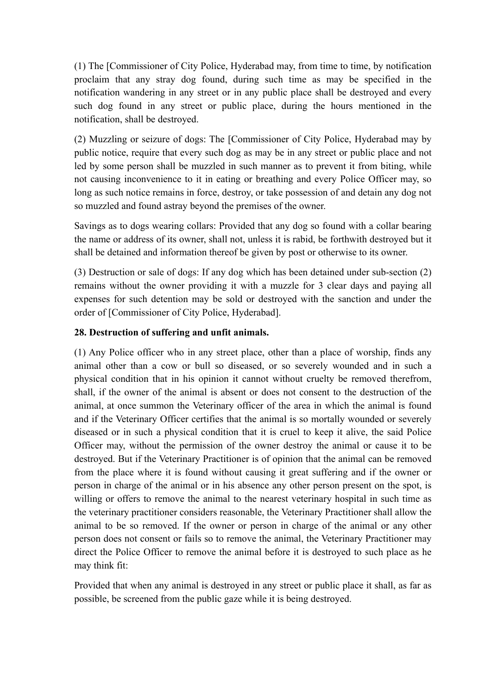(1) The [Commissioner of City Police, Hyderabad may, from time to time, by notification proclaim that any stray dog found, during such time as may be specified in the notification wandering in any street or in any public place shall be destroyed and every such dog found in any street or public place, during the hours mentioned in the notification, shall be destroyed.

(2) Muzzling or seizure of dogs: The [Commissioner of City Police, Hyderabad may by public notice, require that every such dog as may be in any street or public place and not led by some person shall be muzzled in such manner as to prevent it from biting, while not causing inconvenience to it in eating or breathing and every Police Officer may, so long as such notice remains in force, destroy, or take possession of and detain any dog not so muzzled and found astray beyond the premises of the owner.

Savings as to dogs wearing collars: Provided that any dog so found with a collar bearing the name or address of its owner, shall not, unless it is rabid, be forthwith destroyed but it shall be detained and information thereof be given by post or otherwise to its owner.

(3) Destruction or sale of dogs: If any dog which has been detained under sub-section (2) remains without the owner providing it with a muzzle for 3 clear days and paying all expenses for such detention may be sold or destroyed with the sanction and under the order of [Commissioner of City Police, Hyderabad].

# **28. Destruction of suffering and unfit animals.**

(1) Any Police officer who in any street place, other than a place of worship, finds any animal other than a cow or bull so diseased, or so severely wounded and in such a physical condition that in his opinion it cannot without cruelty be removed therefrom, shall, if the owner of the animal is absent or does not consent to the destruction of the animal, at once summon the Veterinary officer of the area in which the animal is found and if the Veterinary Officer certifies that the animal is so mortally wounded or severely diseased or in such a physical condition that it is cruel to keep it alive, the said Police Officer may, without the permission of the owner destroy the animal or cause it to be destroyed. But if the Veterinary Practitioner is of opinion that the animal can be removed from the place where it is found without causing it great suffering and if the owner or person in charge of the animal or in his absence any other person present on the spot, is willing or offers to remove the animal to the nearest veterinary hospital in such time as the veterinary practitioner considers reasonable, the Veterinary Practitioner shall allow the animal to be so removed. If the owner or person in charge of the animal or any other person does not consent or fails so to remove the animal, the Veterinary Practitioner may direct the Police Officer to remove the animal before it is destroyed to such place as he may think fit:

Provided that when any animal is destroyed in any street or public place it shall, as far as possible, be screened from the public gaze while it is being destroyed.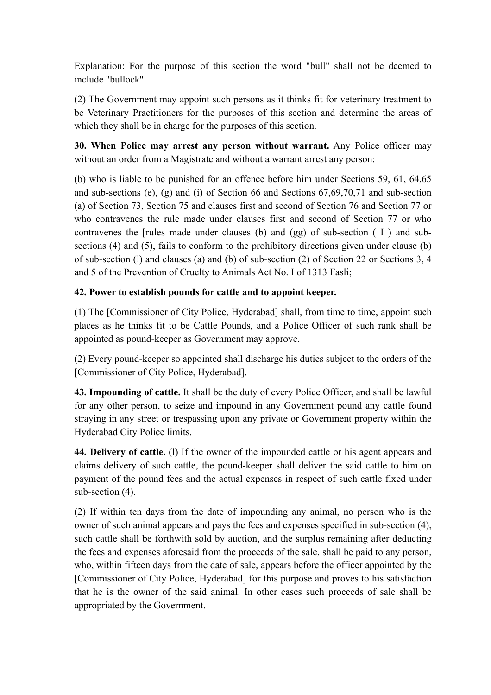Explanation: For the purpose of this section the word "bull" shall not be deemed to include "bullock".

(2) The Government may appoint such persons as it thinks fit for veterinary treatment to be Veterinary Practitioners for the purposes of this section and determine the areas of which they shall be in charge for the purposes of this section.

**30. When Police may arrest any person without warrant.** Any Police officer may without an order from a Magistrate and without a warrant arrest any person:

(b) who is liable to be punished for an offence before him under Sections 59, 61, 64,65 and sub-sections (e), (g) and (i) of Section 66 and Sections 67,69,70,71 and sub-section (a) of Section 73, Section 75 and clauses first and second of Section 76 and Section 77 or who contravenes the rule made under clauses first and second of Section 77 or who contravenes the [rules made under clauses (b) and (gg) of sub-section ( I ) and subsections (4) and (5), fails to conform to the prohibitory directions given under clause (b) of sub-section (l) and clauses (a) and (b) of sub-section (2) of Section 22 or Sections 3, 4 and 5 of the Prevention of Cruelty to Animals Act No. I of 1313 Fasli;

# **42. Power to establish pounds for cattle and to appoint keeper.**

(1) The [Commissioner of City Police, Hyderabad] shall, from time to time, appoint such places as he thinks fit to be Cattle Pounds, and a Police Officer of such rank shall be appointed as pound-keeper as Government may approve.

(2) Every pound-keeper so appointed shall discharge his duties subject to the orders of the [Commissioner of City Police, Hyderabad].

**43. Impounding of cattle.** It shall be the duty of every Police Officer, and shall be lawful for any other person, to seize and impound in any Government pound any cattle found straying in any street or trespassing upon any private or Government property within the Hyderabad City Police limits.

**44. Delivery of cattle.** (l) If the owner of the impounded cattle or his agent appears and claims delivery of such cattle, the pound-keeper shall deliver the said cattle to him on payment of the pound fees and the actual expenses in respect of such cattle fixed under sub-section  $(4)$ .

(2) If within ten days from the date of impounding any animal, no person who is the owner of such animal appears and pays the fees and expenses specified in sub-section (4), such cattle shall be forthwith sold by auction, and the surplus remaining after deducting the fees and expenses aforesaid from the proceeds of the sale, shall be paid to any person, who, within fifteen days from the date of sale, appears before the officer appointed by the [Commissioner of City Police, Hyderabad] for this purpose and proves to his satisfaction that he is the owner of the said animal. In other cases such proceeds of sale shall be appropriated by the Government.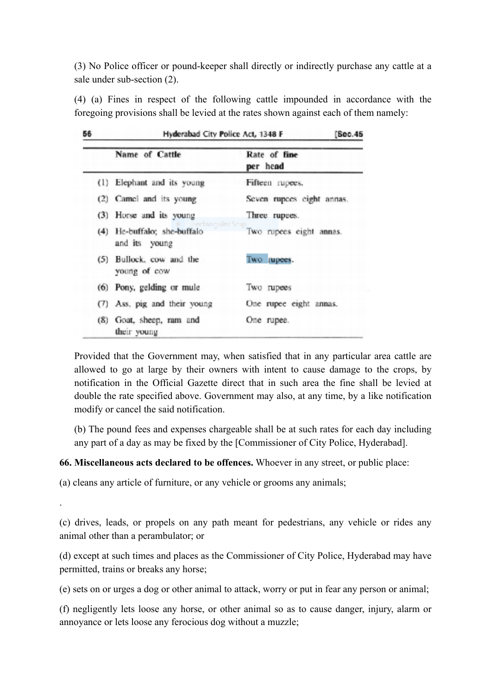(3) No Police officer or pound-keeper shall directly or indirectly purchase any cattle at a sale under sub-section (2).

(4) (a) Fines in respect of the following cattle impounded in accordance with the foregoing provisions shall be levied at the rates shown against each of them namely:

| 56  | Hyderabad City Police Act, 1348 F<br>[Sec.45                       |                           |
|-----|--------------------------------------------------------------------|---------------------------|
|     | Name of Cattle                                                     | Rate of fine<br>per head  |
| (1) | Elephant and its young                                             | Fifteen rupees.           |
|     | (2) Camel and its young                                            | Seven rupces eight annas. |
|     | (3) Horse and its young                                            | Three rupees.             |
|     | Gectan cular Scip-<br>(4) He-buffalo; she-buffalo<br>and its young | Two rupees eight annas.   |
|     | (5) Bullock, cow and the<br>young of cow                           | Two rupees.               |
|     | (6) Pony, gelding or mule                                          | Two rupees                |
|     | (7) Ass, pig and their young                                       | One rupee eight annas.    |
| (8) | Goat, sheep, ram and<br>their young                                | One rupee.                |

Provided that the Government may, when satisfied that in any particular area cattle are allowed to go at large by their owners with intent to cause damage to the crops, by notification in the Official Gazette direct that in such area the fine shall be levied at double the rate specified above. Government may also, at any time, by a like notification modify or cancel the said notification.

(b) The pound fees and expenses chargeable shall be at such rates for each day including any part of a day as may be fixed by the [Commissioner of City Police, Hyderabad].

#### **66. Miscellaneous acts declared to be offences.** Whoever in any street, or public place:

(a) cleans any article of furniture, or any vehicle or grooms any animals;

.

(c) drives, leads, or propels on any path meant for pedestrians, any vehicle or rides any animal other than a perambulator; or

(d) except at such times and places as the Commissioner of City Police, Hyderabad may have permitted, trains or breaks any horse;

(e) sets on or urges a dog or other animal to attack, worry or put in fear any person or animal;

(f) negligently lets loose any horse, or other animal so as to cause danger, injury, alarm or annoyance or lets loose any ferocious dog without a muzzle;